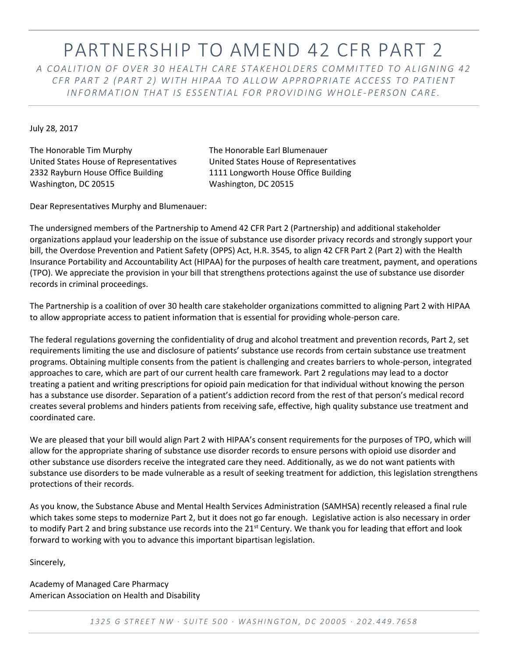## PARTNERSHIP TO AMEND 42 CFR PART 2

*A C O A L I T I O N O F O V E R 3 0 H E A L T H C A R E S T A K E H O LD E R S C O M M I T T E D T O A L I G N I N G 4 2 C F R P A R T 2 ( P A R T 2 ) W I T H H I P A A T O A L L O W A P P R O P R I A T E A C C E S S T O P A T I E N T I N F O R M A T I O N T H A T I S E S S E N T I A L F O R P R O V I D I N G W H O L E -P E R S O N C A RE .*

July 28, 2017

The Honorable Tim Murphy The Honorable Earl Blumenauer United States House of Representatives United States House of Representatives 2332 Rayburn House Office Building 1111 Longworth House Office Building Washington, DC 20515 Washington, DC 20515

Dear Representatives Murphy and Blumenauer:

The undersigned members of the Partnership to Amend 42 CFR Part 2 (Partnership) and additional stakeholder organizations applaud your leadership on the issue of substance use disorder privacy records and strongly support your bill, the Overdose Prevention and Patient Safety (OPPS) Act, H.R. 3545, to align 42 CFR Part 2 (Part 2) with the Health Insurance Portability and Accountability Act (HIPAA) for the purposes of health care treatment, payment, and operations (TPO). We appreciate the provision in your bill that strengthens protections against the use of substance use disorder records in criminal proceedings.

The Partnership is a coalition of over 30 health care stakeholder organizations committed to aligning Part 2 with HIPAA to allow appropriate access to patient information that is essential for providing whole-person care.

The federal regulations governing the confidentiality of drug and alcohol treatment and prevention records, Part 2, set requirements limiting the use and disclosure of patients' substance use records from certain substance use treatment programs. Obtaining multiple consents from the patient is challenging and creates barriers to whole-person, integrated approaches to care, which are part of our current health care framework. Part 2 regulations may lead to a doctor treating a patient and writing prescriptions for opioid pain medication for that individual without knowing the person has a substance use disorder. Separation of a patient's addiction record from the rest of that person's medical record creates several problems and hinders patients from receiving safe, effective, high quality substance use treatment and coordinated care.

We are pleased that your bill would align Part 2 with HIPAA's consent requirements for the purposes of TPO, which will allow for the appropriate sharing of substance use disorder records to ensure persons with opioid use disorder and other substance use disorders receive the integrated care they need. Additionally, as we do not want patients with substance use disorders to be made vulnerable as a result of seeking treatment for addiction, this legislation strengthens protections of their records.

As you know, the Substance Abuse and Mental Health Services Administration (SAMHSA) recently released a final rule which takes some steps to modernize Part 2, but it does not go far enough. Legislative action is also necessary in order to modify Part 2 and bring substance use records into the  $21^{st}$  Century. We thank you for leading that effort and look forward to working with you to advance this important bipartisan legislation.

Sincerely,

Academy of Managed Care Pharmacy American Association on Health and Disability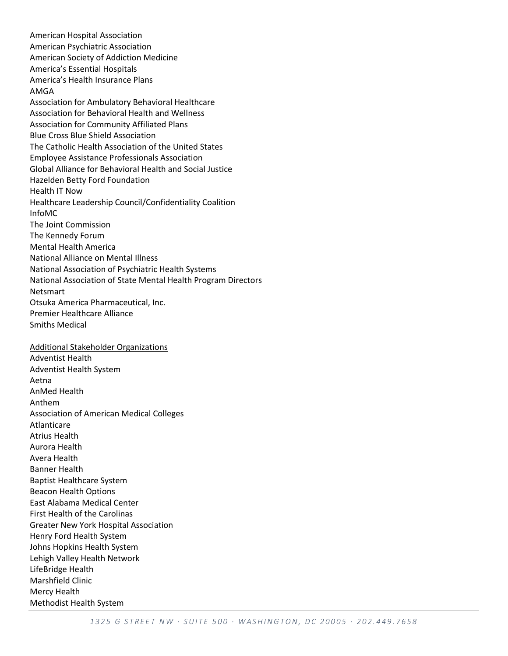American Hospital Association American Psychiatric Association American Society of Addiction Medicine America's Essential Hospitals America's Health Insurance Plans AMGA Association for Ambulatory Behavioral Healthcare Association for Behavioral Health and Wellness Association for Community Affiliated Plans Blue Cross Blue Shield Association The Catholic Health Association of the United States Employee Assistance Professionals Association Global Alliance for Behavioral Health and Social Justice Hazelden Betty Ford Foundation Health IT Now Healthcare Leadership Council/Confidentiality Coalition InfoMC The Joint Commission The Kennedy Forum Mental Health America National Alliance on Mental Illness National Association of Psychiatric Health Systems National Association of State Mental Health Program Directors Netsmart Otsuka America Pharmaceutical, Inc. Premier Healthcare Alliance Smiths Medical Additional Stakeholder Organizations Adventist Health Adventist Health System Aetna AnMed Health Anthem Association of American Medical Colleges Atlanticare Atrius Health Aurora Health Avera Health Banner Health Baptist Healthcare System Beacon Health Options East Alabama Medical Center First Health of the Carolinas Greater New York Hospital Association Henry Ford Health System Johns Hopkins Health System Lehigh Valley Health Network LifeBridge Health Marshfield Clinic Mercy Health Methodist Health System